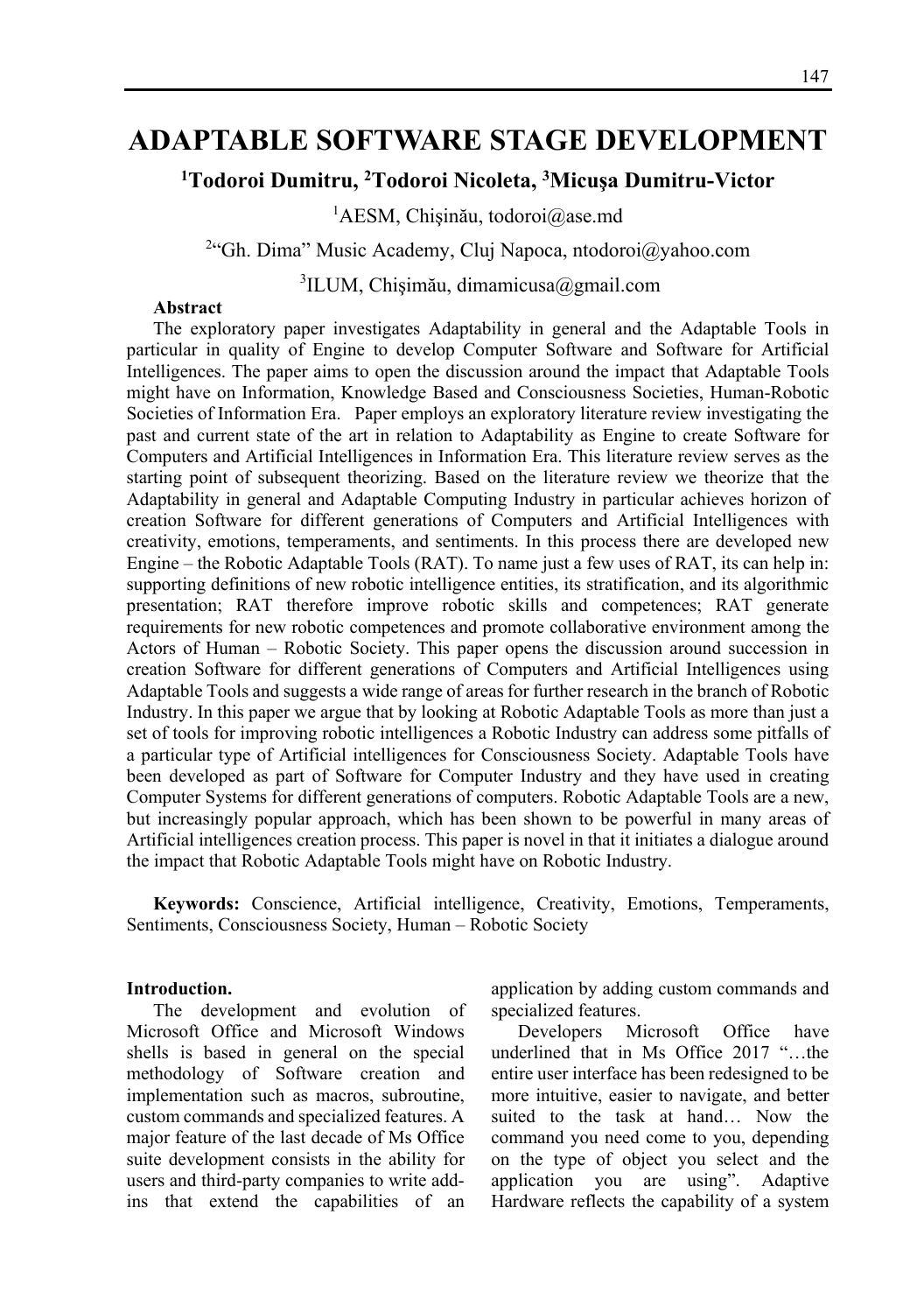# **ADAPTABLE SOFTWARE STAGE DEVELOPMENT**

## <sup>1</sup>Todoroi Dumitru, <sup>2</sup>Todoroi Nicoleta, <sup>3</sup>Micușa Dumitru-Victor

<sup>1</sup>AESM, Chișinău, todoroi@ase.md

<sup>2</sup>"Gh. Dima" Music Academy, Cluj Napoca, ntodoroi@yahoo.com

3 ILUM, Chişimău, dimamicusa@gmail.com

#### **Abstract**

The exploratory paper investigates Adaptability in general and the Adaptable Tools in particular in quality of Engine to develop Computer Software and Software for Artificial Intelligences. The paper aims to open the discussion around the impact that Adaptable Tools might have on Information, Knowledge Based and Consciousness Societies, Human-Robotic Societies of Information Era. Paper employs an exploratory literature review investigating the past and current state of the art in relation to Adaptability as Engine to create Software for Computers and Artificial Intelligences in Information Era. This literature review serves as the starting point of subsequent theorizing. Based on the literature review we theorize that the Adaptability in general and Adaptable Computing Industry in particular achieves horizon of creation Software for different generations of Computers and Artificial Intelligences with creativity, emotions, temperaments, and sentiments. In this process there are developed new Engine – the Robotic Adaptable Tools (RAT). To name just a few uses of RAT, its can help in: supporting definitions of new robotic intelligence entities, its stratification, and its algorithmic presentation; RAT therefore improve robotic skills and competences; RAT generate requirements for new robotic competences and promote collaborative environment among the Actors of Human – Robotic Society. This paper opens the discussion around succession in creation Software for different generations of Computers and Artificial Intelligences using Adaptable Tools and suggests a wide range of areas for further research in the branch of Robotic Industry. In this paper we argue that by looking at Robotic Adaptable Tools as more than just a set of tools for improving robotic intelligences a Robotic Industry can address some pitfalls of a particular type of Artificial intelligences for Consciousness Society. Adaptable Tools have been developed as part of Software for Computer Industry and they have used in creating Computer Systems for different generations of computers. Robotic Adaptable Tools are a new, but increasingly popular approach, which has been shown to be powerful in many areas of Artificial intelligences creation process. This paper is novel in that it initiates a dialogue around the impact that Robotic Adaptable Tools might have on Robotic Industry.

**Keywords:** Conscience, Artificial intelligence, Creativity, Emotions, Temperaments, Sentiments, Consciousness Society, Human – Robotic Society

#### **Introduction.**

The development and evolution of Microsoft Office and Microsoft Windows shells is based in general on the special methodology of Software creation and implementation such as macros, subroutine, custom commands and specialized features. A major feature of the last decade of Ms Office suite development consists in the ability for users and third-party companies to write addins that extend the capabilities of an application by adding custom commands and specialized features.

Developers Microsoft Office have underlined that in Ms Office 2017 "…the entire user interface has been redesigned to be more intuitive, easier to navigate, and better suited to the task at hand… Now the command you need come to you, depending on the type of object you select and the application you are using". Adaptive Hardware reflects the capability of a system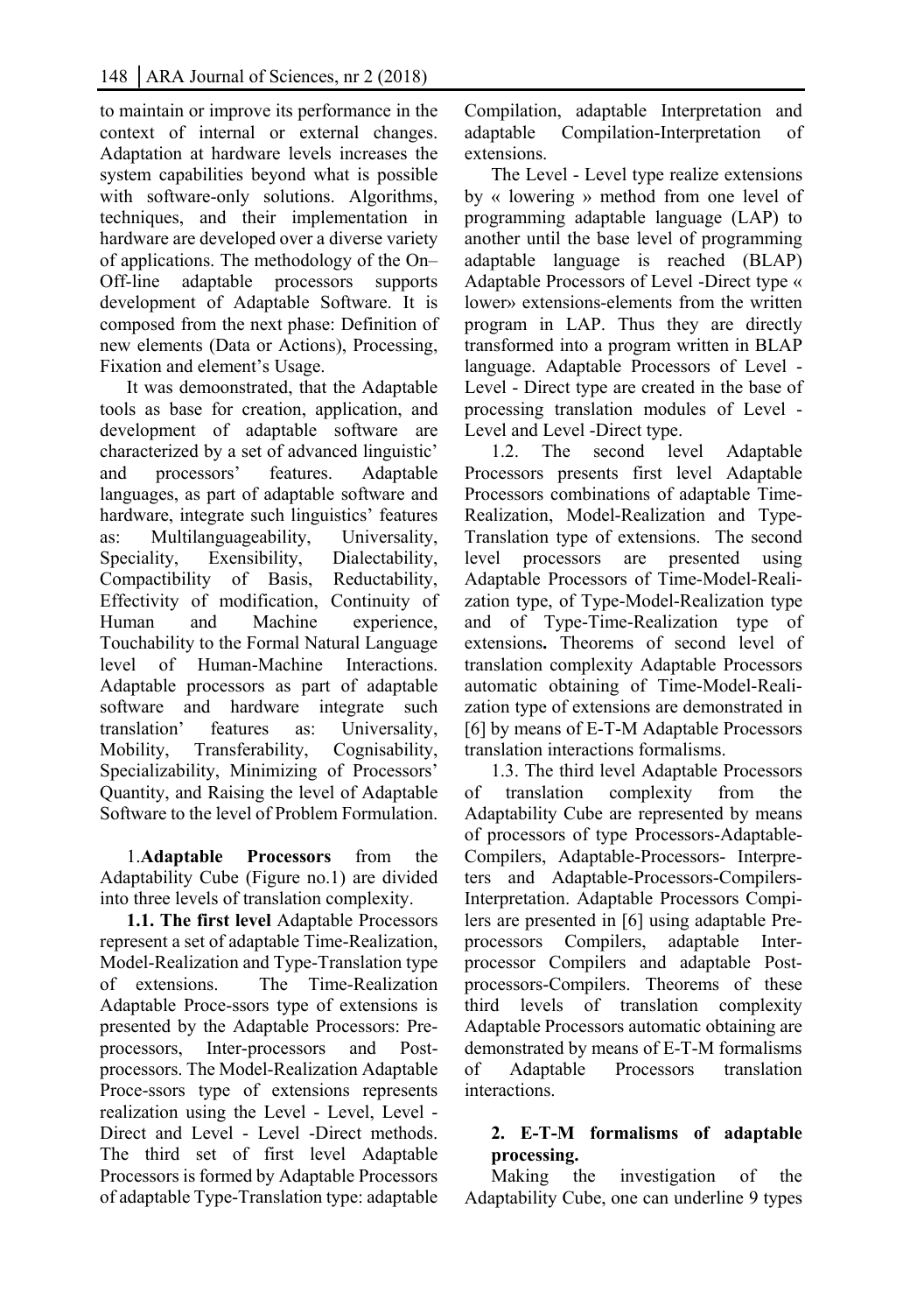to maintain or improve its performance in the context of internal or external changes. Adaptation at hardware levels increases the system capabilities beyond what is possible with software-only solutions. Algorithms, techniques, and their implementation in hardware are developed over a diverse variety of applications. The methodology of the On– Off-line adaptable processors supports development of Adaptable Software. It is composed from the next phase: Definition of new elements (Data or Actions), Processing, Fixation and element's Usage.

It was demoonstrated, that the Adaptable tools as base for creation, application, and development of adaptable software are characterized by a set of advanced linguistic' and processors' features. Adaptable languages, as part of adaptable software and hardware, integrate such linguistics' features as: Multilanguageability, Universality, Speciality, Exensibility, Dialectability, Compactibility of Basis, Reductability, Effectivity of modification, Continuity of Human and Machine experience, Touchability to the Formal Natural Language level of Human-Machine Interactions. Adaptable processors as part of adaptable software and hardware integrate such translation' features as: Universality, Mobility, Transferability, Cognisability, Specializability, Minimizing of Processors' Quantity, and Raising the level of Adaptable Software to the level of Problem Formulation.

1.**Adaptable Processors** from the Adaptability Cube (Figure no.1) are divided into three levels of translation complexity.

**1.1. The first level** Adaptable Processors represent a set of adaptable Time-Realization, Model-Realization and Type-Translation type of extensions. The Time-Realization Adaptable Proce-ssors type of extensions is presented by the Adaptable Processors: Preprocessors, Inter-processors and Postprocessors. The Model-Realization Adaptable Proce-ssors type of extensions represents realization using the Level - Level, Level - Direct and Level - Level -Direct methods. The third set of first level Adaptable Processors is formed by Adaptable Processors of adaptable Type-Translation type: adaptable Compilation, adaptable Interpretation and adaptable Compilation-Interpretation of extensions.

The Level - Level type realize extensions by « lowering » method from one level of programming adaptable language (LAP) to another until the base level of programming adaptable language is reached (BLAP) Adaptable Processors of Level -Direct type « lower» extensions-elements from the written program in LAP. Thus they are directly transformed into a program written in BLAP language. Adaptable Processors of Level - Level - Direct type are created in the base of processing translation modules of Level - Level and Level -Direct type.

1.2. The second level Adaptable Processors presents first level Adaptable Processors combinations of adaptable Time-Realization, Model-Realization and Type-Translation type of extensions. The second level processors are presented using Adaptable Processors of Time-Model-Realization type, of Type-Model-Realization type and of Type-Time-Realization type of extensions**.** Theorems of second level of translation complexity Adaptable Processors automatic obtaining of Time-Model-Realization type of extensions are demonstrated in [6] by means of E-T-M Adaptable Processors translation interactions formalisms.

1.3. The third level Adaptable Processors of translation complexity from Adaptability Cube are represented by means of processors of type Processors-Adaptable-Compilers, Adaptable-Processors- Interpreters and Adaptable-Processors-Compilers-Interpretation. Adaptable Processors Compilers are presented in [6] using adaptable Preprocessors Compilers, adaptable Interprocessor Compilers and adaptable Postprocessors-Compilers. Theorems of these third levels of translation complexity Adaptable Processors automatic obtaining are demonstrated by means of E-T-M formalisms of Adaptable Processors translation interactions.

## **2. E-T-M formalisms of adaptable processing.**

Making the investigation of the Adaptability Cube, one can underline 9 types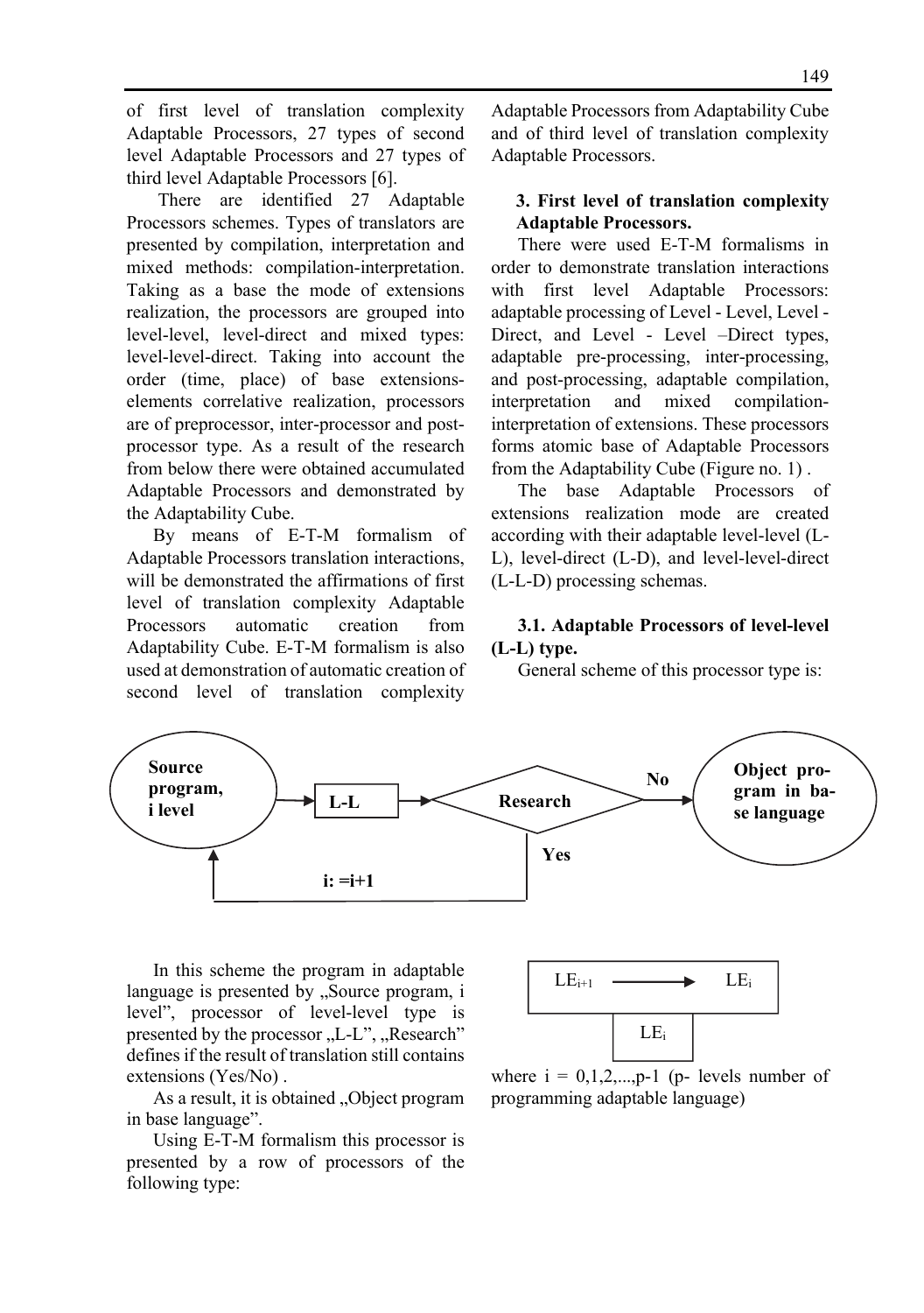of first level of translation complexity Adaptable Processors, 27 types of second level Adaptable Processors and 27 types of third level Adaptable Processors [6].

 There are identified 27 Adaptable Processors schemes. Types of translators are presented by compilation, interpretation and mixed methods: compilation-interpretation. Taking as a base the mode of extensions realization, the processors are grouped into level-level, level-direct and mixed types: level-level-direct. Taking into account the order (time, place) of base extensionselements correlative realization, processors are of preprocessor, inter-processor and postprocessor type. As a result of the research from below there were obtained accumulated Adaptable Processors and demonstrated by the Adaptability Cube.

By means of E-T-M formalism of Adaptable Processors translation interactions, will be demonstrated the affirmations of first level of translation complexity Adaptable Processors automatic creation from Adaptability Cube. E-T-M formalism is also used at demonstration of automatic creation of second level of translation complexity

Adaptable Processors from Adaptability Cube and of third level of translation complexity Adaptable Processors.

#### **3. First level of translation complexity Adaptable Processors.**

There were used E-T-M formalisms in order to demonstrate translation interactions with first level Adaptable Processors: adaptable processing of Level - Level, Level - Direct, and Level - Level -Direct types, adaptable pre-processing, inter-processing, and post-processing, adaptable compilation, interpretation and mixed compilationinterpretation of extensions. These processors forms atomic base of Adaptable Processors from the Adaptability Cube (Figure no. 1) .

The base Adaptable Processors of extensions realization mode are created according with their adaptable level-level (L-L), level-direct (L-D), and level-level-direct (L-L-D) processing schemas.

#### **3.1. Adaptable Processors of level-level (L-L) type.**

General scheme of this processor type is:



In this scheme the program in adaptable language is presented by "Source program, i level", processor of level-level type is presented by the processor "L-L", "Research" defines if the result of translation still contains extensions (Yes/No) .

As a result, it is obtained "Object program in base language".

Using E-T-M formalism this processor is presented by a row of processors of the following type:



where  $i = 0,1,2,...,p-1$  (p- levels number of programming adaptable language)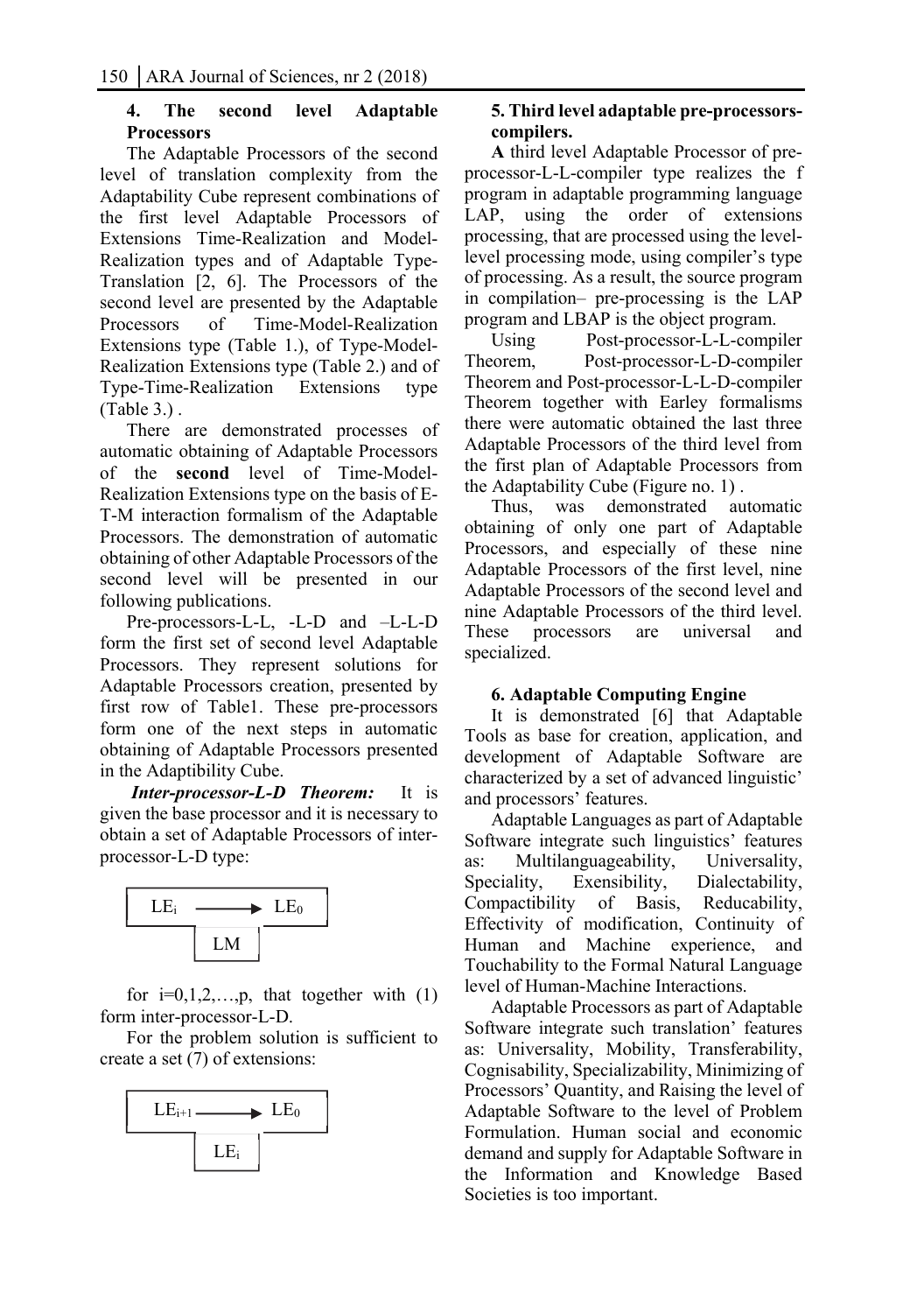#### **4. The second level Adaptable Processors**

The Adaptable Processors of the second level of translation complexity from the Adaptability Cube represent combinations of the first level Adaptable Processors of Extensions Time-Realization and Model-Realization types and of Adaptable Type-Translation [2, 6]. The Processors of the second level are presented by the Adaptable<br>Processors of Time-Model-Realization Processors of Time-Model-Realization Extensions type (Table 1.), of Type-Model-Realization Extensions type (Table 2.) and of Type-Time-Realization Extensions type (Table 3.) .

There are demonstrated processes of automatic obtaining of Adaptable Processors of the **second** level of Time-Model-Realization Extensions type on the basis of E-T-M interaction formalism of the Adaptable Processors. The demonstration of automatic obtaining of other Adaptable Processors of the second level will be presented in our following publications.

Pre-processors-L-L, -L-D and –L-L-D form the first set of second level Adaptable Processors. They represent solutions for Adaptable Processors creation, presented by first row of Table1. These pre-processors form one of the next steps in automatic obtaining of Adaptable Processors presented in the Adaptibility Cube.

 *Inter-processor-L-D Theorem:* It is given the base processor and it is necessary to obtain a set of Adaptable Processors of interprocessor-L-D type:



for  $i=0,1,2,...,p$ , that together with  $(1)$ form inter-processor-L-D.

For the problem solution is sufficient to create a set (7) of extensions:



#### **5. Third level adaptable pre-processorscompilers.**

**A** third level Adaptable Processor of preprocessor-L-L-compiler type realizes the f program in adaptable programming language LAP, using the order of extensions processing, that are processed using the levellevel processing mode, using compiler's type of processing. As a result, the source program in compilation– pre-processing is the LAP program and LBAP is the object program.

Using Post-processor-L-L-compiler Theorem, Post-processor-L-D-compiler Theorem and Post-processor-L-L-D-compiler Theorem together with Earley formalisms there were automatic obtained the last three Adaptable Processors of the third level from the first plan of Adaptable Processors from the Adaptability Cube (Figure no. 1) .

Thus, was demonstrated automatic obtaining of only one part of Adaptable Processors, and especially of these nine Adaptable Processors of the first level, nine Adaptable Processors of the second level and nine Adaptable Processors of the third level. These processors are universal and specialized.

#### **6. Adaptable Computing Engine**

It is demonstrated [6] that Adaptable Tools as base for creation, application, and development of Adaptable Software are characterized by a set of advanced linguistic' and processors' features.

Adaptable Languages as part of Adaptable Software integrate such linguistics' features as: Multilanguageability, Universality, Speciality, Exensibility, Dialectability, Compactibility of Basis, Reducability, Effectivity of modification, Continuity of Human and Machine experience, and Touchability to the Formal Natural Language level of Human-Machine Interactions.

Adaptable Processors as part of Adaptable Software integrate such translation' features as: Universality, Mobility, Transferability, Cognisability, Specializability, Minimizing of Processors' Quantity, and Raising the level of Adaptable Software to the level of Problem Formulation. Human social and economic demand and supply for Adaptable Software in the Information and Knowledge Based Societies is too important.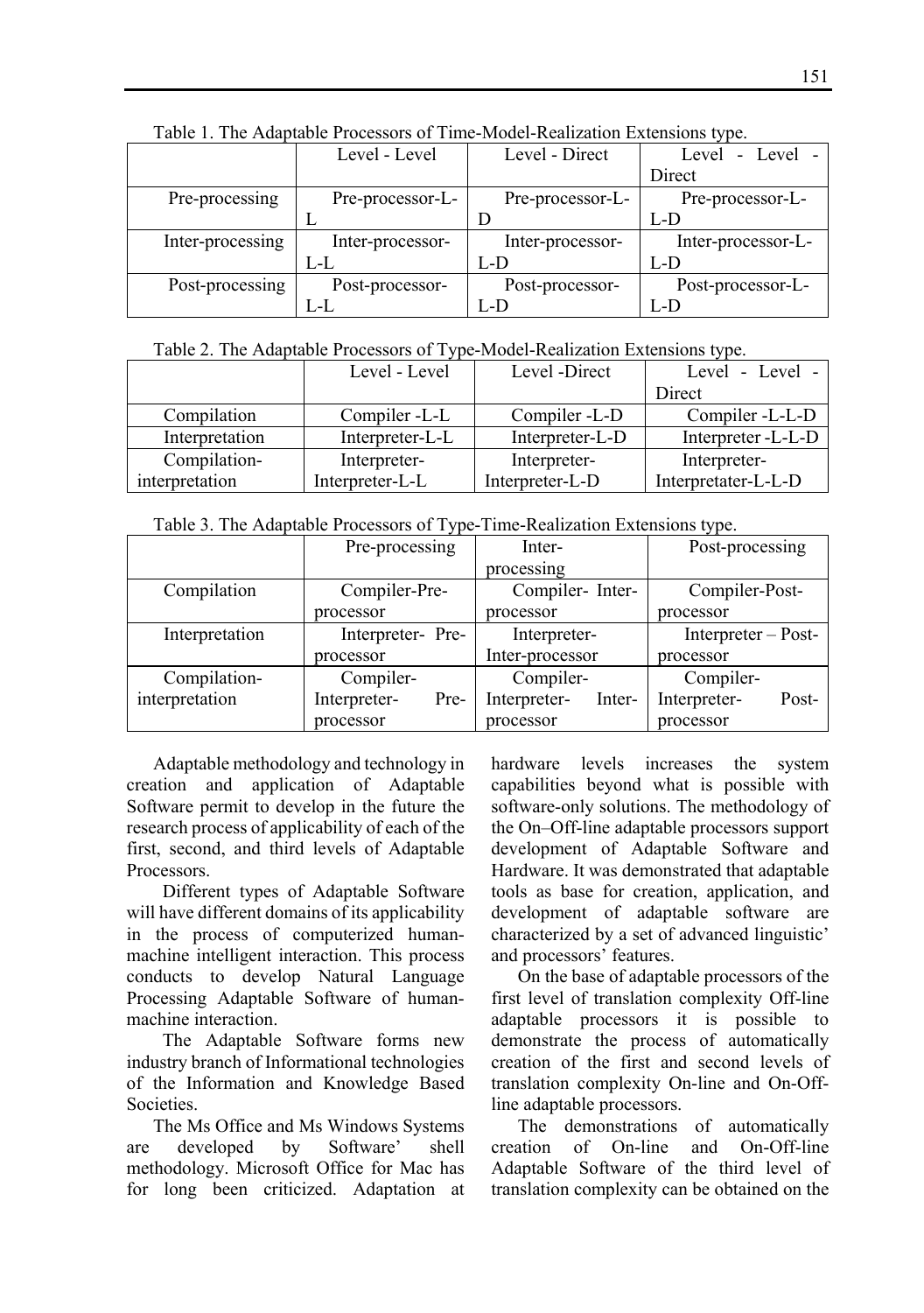| Table 1. The Adaptable I focessors of Thile-Model-Keanzation Extensions type. |                  |                  |                    |  |  |
|-------------------------------------------------------------------------------|------------------|------------------|--------------------|--|--|
|                                                                               | Level - Level    | Level - Direct   | - Level -<br>Level |  |  |
|                                                                               |                  |                  | Direct             |  |  |
| Pre-processing                                                                | Pre-processor-L- | Pre-processor-L- | Pre-processor-L-   |  |  |
|                                                                               |                  |                  | L-D                |  |  |
| Inter-processing                                                              | Inter-processor- | Inter-processor- | Inter-processor-L- |  |  |
|                                                                               | L-L              | L-D              | L-D                |  |  |
| Post-processing                                                               | Post-processor-  | Post-processor-  | Post-processor-L-  |  |  |
|                                                                               | L-L              | L-D              | L-D                |  |  |

Table 1. The Adaptable Processors of Time-Model-Realization Extensions type.

#### Table 2. The Adaptable Processors of Type-Model-Realization Extensions type.

|                | Level - Level   | Level -Direct   | Level - Level -     |
|----------------|-----------------|-----------------|---------------------|
|                |                 |                 | Direct              |
| Compilation    | Compiler -L-L   | Compiler -L-D   | Compiler -L-L-D     |
| Interpretation | Interpreter-L-L | Interpreter-L-D | Interpreter - L-L-D |
| Compilation-   | Interpreter-    | Interpreter-    | Interpreter-        |
| interpretation | Interpreter-L-L | Interpreter-L-D | Interpretater-L-L-D |

Table 3. The Adaptable Processors of Type-Time-Realization Extensions type.

|                | Pre-processing       | Inter-                 | Post-processing       |
|----------------|----------------------|------------------------|-----------------------|
|                |                      | processing             |                       |
| Compilation    | Compiler-Pre-        | Compiler-Inter-        | Compiler-Post-        |
|                | processor            | processor              | processor             |
| Interpretation | Interpreter-Pre-     | Interpreter-           | Interpreter – Post-   |
|                | processor            | Inter-processor        | processor             |
| Compilation-   | Compiler-            | Compiler-              | Compiler-             |
| interpretation | Interpreter-<br>Pre- | Interpreter-<br>Inter- | Interpreter-<br>Post- |
|                | processor            | processor              | processor             |

Adaptable methodology and technology in creation and application of Adaptable Software permit to develop in the future the research process of applicability of each of the first, second, and third levels of Adaptable Processors.

 Different types of Adaptable Software will have different domains of its applicability in the process of computerized humanmachine intelligent interaction. This process conducts to develop Natural Language Processing Adaptable Software of humanmachine interaction.

 The Adaptable Software forms new industry branch of Informational technologies of the Information and Knowledge Based Societies.

The Ms Office and Ms Windows Systems are developed by Software' shell methodology. Microsoft Office for Mac has for long been criticized. Adaptation at

hardware levels increases the system capabilities beyond what is possible with software-only solutions. The methodology of the On–Off-line adaptable processors support development of Adaptable Software and Hardware. It was demonstrated that adaptable tools as base for creation, application, and development of adaptable software are characterized by a set of advanced linguistic' and processors' features.

On the base of adaptable processors of the first level of translation complexity Off-line adaptable processors it is possible to demonstrate the process of automatically creation of the first and second levels of translation complexity On-line and On-Offline adaptable processors.

The demonstrations of automatically creation of On-line and On-Off-line Adaptable Software of the third level of translation complexity can be obtained on the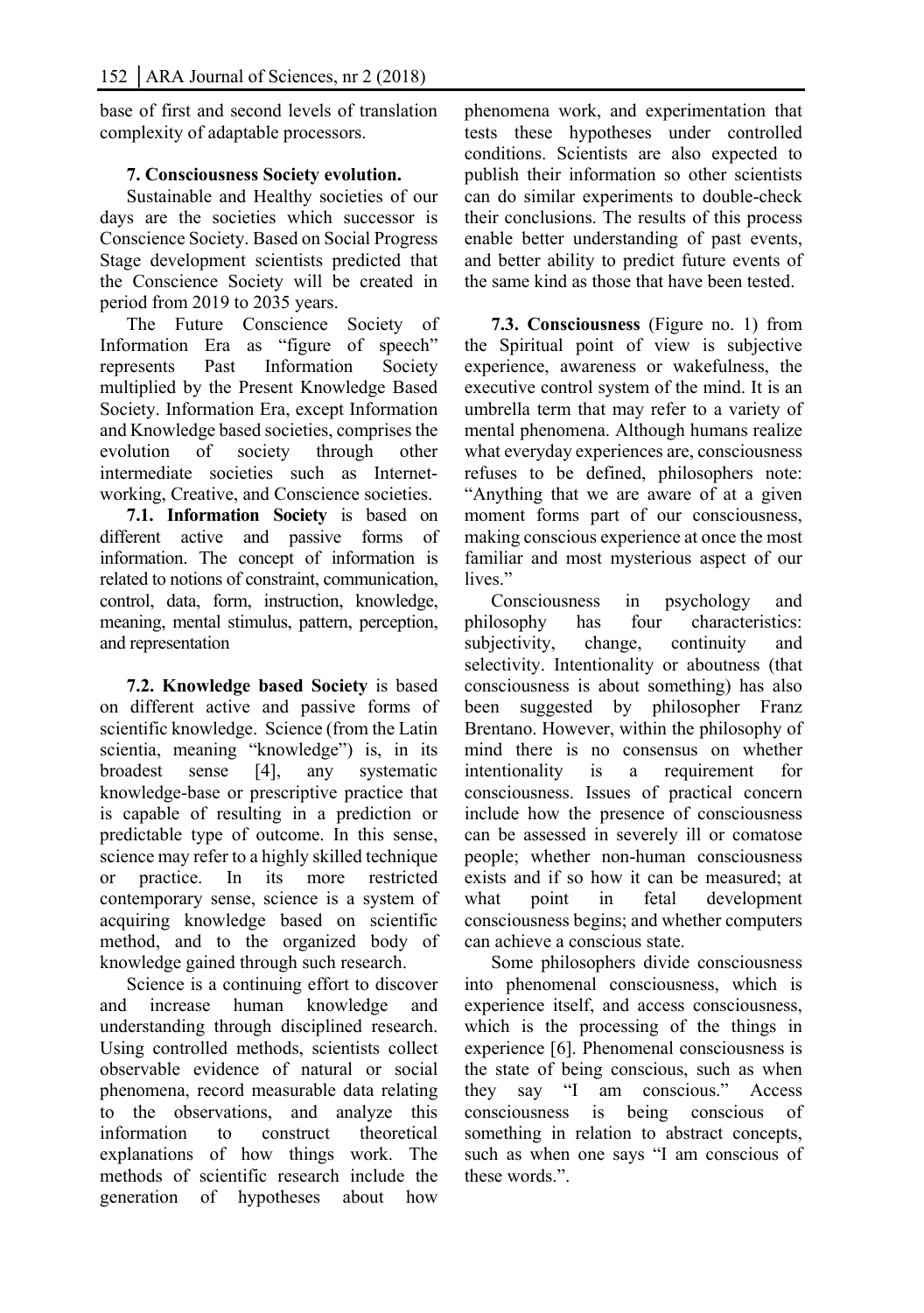base of first and second levels of translation complexity of adaptable processors.

### **7. Consciousness Society evolution.**

Sustainable and Healthy societies of our days are the societies which successor is Conscience Society. Based on Social Progress Stage development scientists predicted that the Conscience Society will be created in period from 2019 to 2035 years.

The Future Conscience Society of Information Era as "figure of speech" represents Past Information Society multiplied by the Present Knowledge Based Society. Information Era, except Information and Knowledge based societies, comprises the evolution of society through other intermediate societies such as Internetworking, Creative, and Conscience societies.

**7.1. Information Society** is based on different active and passive forms of information. The concept of information is related to notions of constraint, communication, control, data, form, instruction, knowledge, meaning, mental stimulus, pattern, perception, and representation

**7.2. Knowledge based Society** is based on different active and passive forms of scientific knowledge. Science (from the Latin scientia, meaning "knowledge") is, in its broadest sense [4], any systematic knowledge-base or prescriptive practice that is capable of resulting in a prediction or predictable type of outcome. In this sense, science may refer to a highly skilled technique or practice. In its more restricted contemporary sense, science is a system of acquiring knowledge based on scientific method, and to the organized body of knowledge gained through such research.

Science is a continuing effort to discover and increase human knowledge and understanding through disciplined research. Using controlled methods, scientists collect observable evidence of natural or social phenomena, record measurable data relating to the observations, and analyze this information to construct theoretical explanations of how things work. The methods of scientific research include the generation of hypotheses about how

phenomena work, and experimentation that tests these hypotheses under controlled conditions. Scientists are also expected to publish their information so other scientists can do similar experiments to double-check their conclusions. The results of this process enable better understanding of past events, and better ability to predict future events of the same kind as those that have been tested.

**7.3. Consciousness** (Figure no. 1) from the Spiritual point of view is subjective experience, awareness or wakefulness, the executive control system of the mind. It is an umbrella term that may refer to a variety of mental phenomena. Although humans realize what everyday experiences are, consciousness refuses to be defined, philosophers note: "Anything that we are aware of at a given moment forms part of our consciousness, making conscious experience at once the most familiar and most mysterious aspect of our lives<sup>"</sup>

Consciousness in psychology and philosophy has four characteristics: subjectivity, change, continuity and selectivity. Intentionality or aboutness (that consciousness is about something) has also been suggested by philosopher Franz Brentano. However, within the philosophy of mind there is no consensus on whether intentionality is a requirement for consciousness. Issues of practical concern include how the presence of consciousness can be assessed in severely ill or comatose people; whether non-human consciousness exists and if so how it can be measured; at what point in fetal development consciousness begins; and whether computers can achieve a conscious state.

Some philosophers divide consciousness into phenomenal consciousness, which is experience itself, and access consciousness, which is the processing of the things in experience [6]. Phenomenal consciousness is the state of being conscious, such as when they say "I am conscious." Access consciousness is being conscious of something in relation to abstract concepts, such as when one says "I am conscious of these words."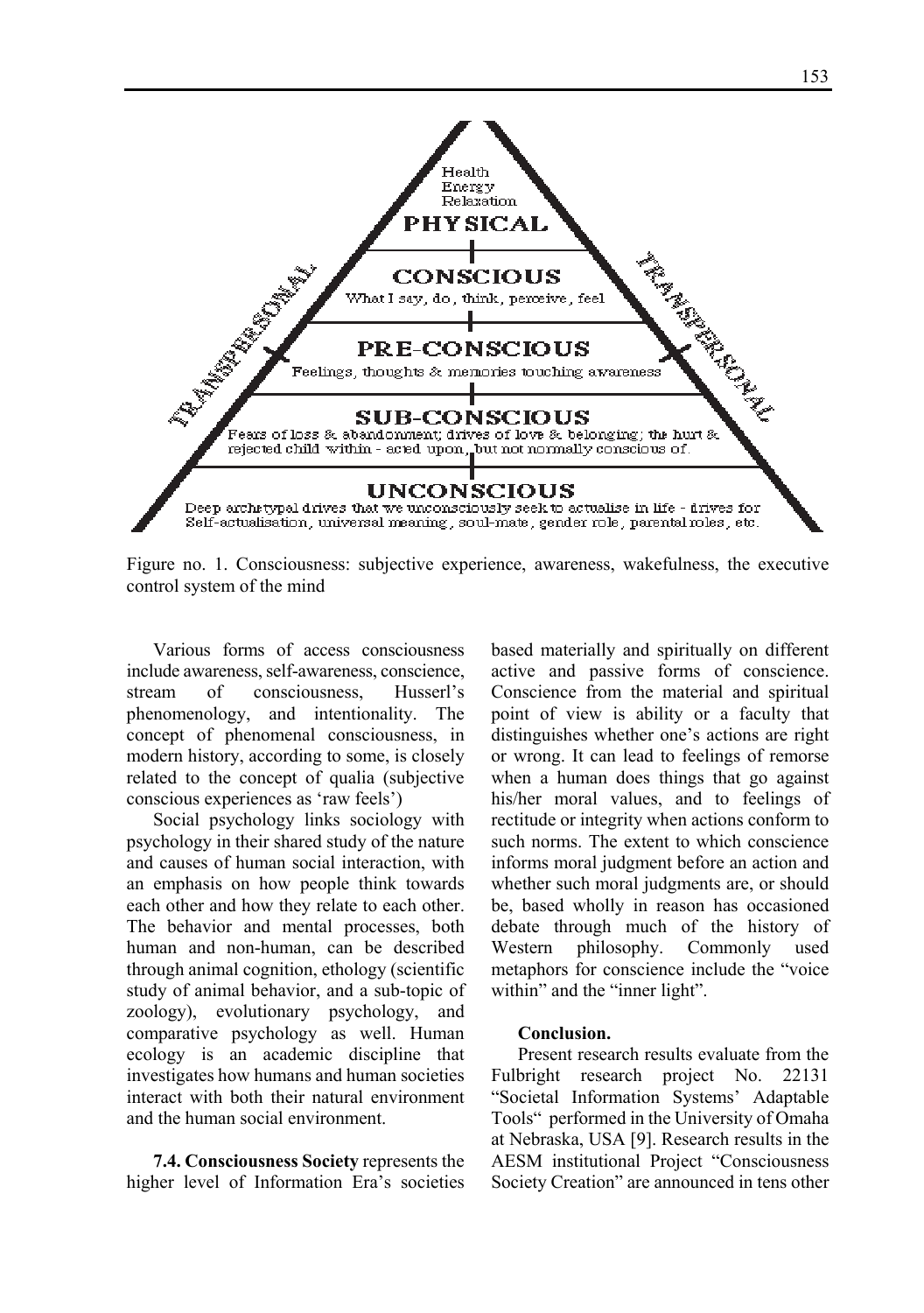

Figure no. 1. Consciousness: subjective experience, awareness, wakefulness, the executive control system of the mind

Various forms of access consciousness include awareness, self-awareness, conscience, stream of consciousness, Husserl's phenomenology, and intentionality. The concept of phenomenal consciousness, in modern history, according to some, is closely related to the concept of qualia (subjective conscious experiences as 'raw feels')

Social psychology links sociology with psychology in their shared study of the nature and causes of human social interaction, with an emphasis on how people think towards each other and how they relate to each other. The behavior and mental processes, both human and non-human, can be described through animal cognition, ethology (scientific study of animal behavior, and a sub-topic of zoology), evolutionary psychology, and comparative psychology as well. Human ecology is an academic discipline that investigates how humans and human societies interact with both their natural environment and the human social environment.

**7.4. Consciousness Society** represents the higher level of Information Era's societies based materially and spiritually on different active and passive forms of conscience. Conscience from the material and spiritual point of view is ability or a faculty that distinguishes whether one's actions are right or wrong. It can lead to feelings of remorse when a human does things that go against his/her moral values, and to feelings of rectitude or integrity when actions conform to such norms. The extent to which conscience informs moral judgment before an action and whether such moral judgments are, or should be, based wholly in reason has occasioned debate through much of the history of Western philosophy. Commonly used metaphors for conscience include the "voice within" and the "inner light".

#### **Conclusion.**

Present research results evaluate from the Fulbright research project No. 22131 "Societal Information Systems' Adaptable Tools" performed in the University of Omaha at Nebraska, USA [9]. Research results in the AESM institutional Project "Consciousness Society Creation" are announced in tens other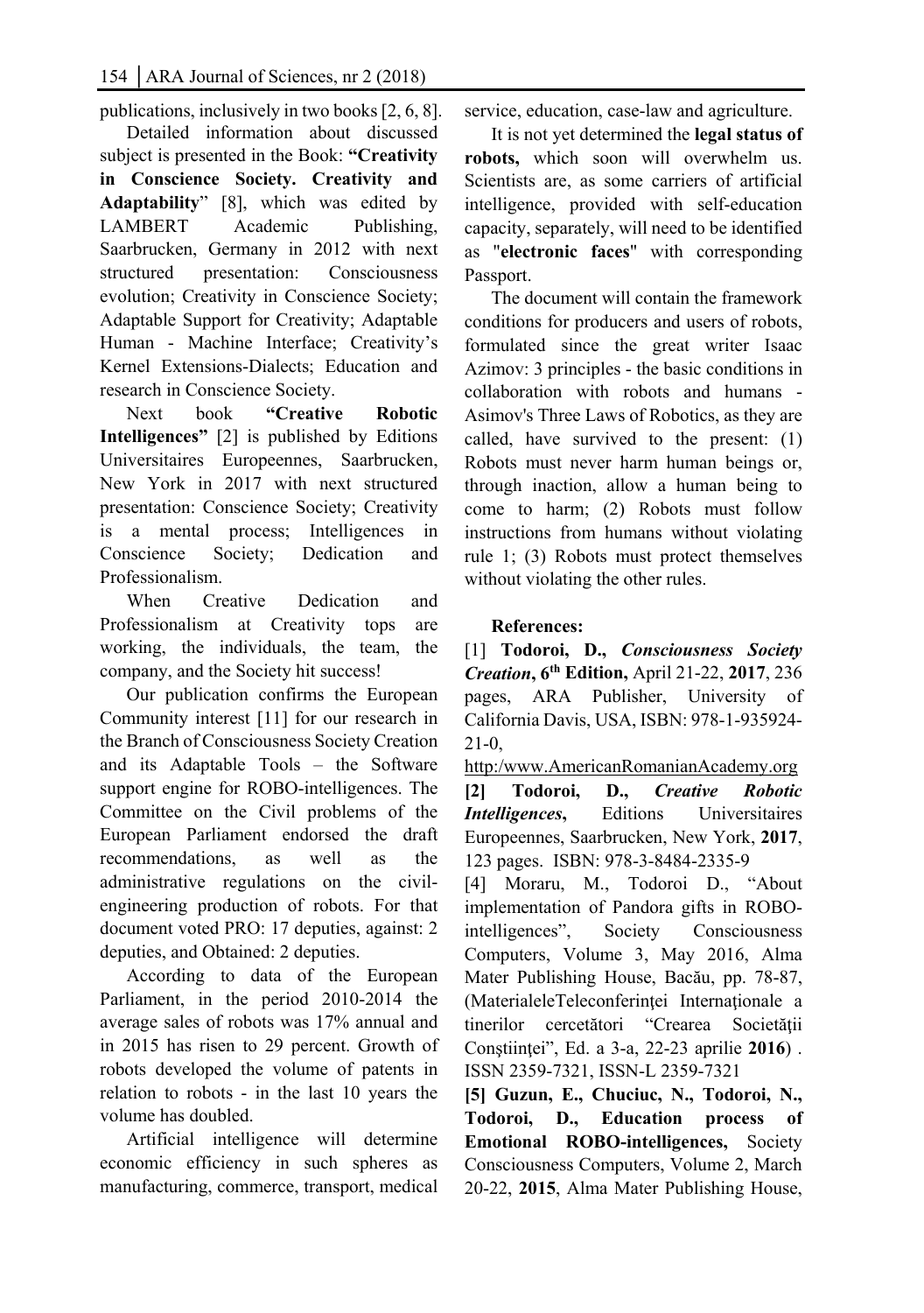publications, inclusively in two books [2, 6, 8].

Detailed information about discussed subject is presented in the Book: **"Creativity in Conscience Society. Creativity and Adaptability**" [8], which was edited by LAMBERT Academic Publishing, Saarbrucken, Germany in 2012 with next structured presentation: Consciousness evolution; Creativity in Conscience Society; Adaptable Support for Creativity; Adaptable Human - Machine Interface; Creativity's Kernel Extensions-Dialects; Education and research in Conscience Society.

Next book **"Creative Robotic Intelligences"** [2] is published by Editions Universitaires Europeennes, Saarbrucken, New York in 2017 with next structured presentation: Conscience Society; Creativity is a mental process; Intelligences in Conscience Society; Dedication and Professionalism.

When Creative Dedication and Professionalism at Creativity tops are working, the individuals, the team, the company, and the Society hit success!

Our publication confirms the European Community interest [11] for our research in the Branch of Consciousness Society Creation and its Adaptable Tools – the Software support engine for ROBO-intelligences. The Committee on the Civil problems of the European Parliament endorsed the draft recommendations, as well as the administrative regulations on the civilengineering production of robots. For that document voted PRO: 17 deputies, against: 2 deputies, and Obtained: 2 deputies.

According to data of the European Parliament, in the period 2010-2014 the average sales of robots was 17% annual and in 2015 has risen to 29 percent. Growth of robots developed the volume of patents in relation to robots - in the last 10 years the volume has doubled.

Artificial intelligence will determine economic efficiency in such spheres as manufacturing, commerce, transport, medical service, education, case-law and agriculture.

It is not yet determined the **legal status of robots,** which soon will overwhelm us. Scientists are, as some carriers of artificial intelligence, provided with self-education capacity, separately, will need to be identified as "**electronic faces**" with corresponding Passport.

The document will contain the framework conditions for producers and users of robots, formulated since the great writer Isaac Azimov: 3 principles - the basic conditions in collaboration with robots and humans - Asimov's Three Laws of Robotics, as they are called, have survived to the present: (1) Robots must never harm human beings or, through inaction, allow a human being to come to harm; (2) Robots must follow instructions from humans without violating rule 1; (3) Robots must protect themselves without violating the other rules.

#### **References:**

[1] **Todoroi, D.,** *Consciousness Society Creation***, 6th Edition,** April 21-22, **2017**, 236 pages, ARA Publisher, University of California Davis, USA, ISBN: 978-1-935924- 21-0,

http:/www.AmericanRomanianAcademy.org **[2] Todoroi, D.,** *Creative Robotic Intelligences***,** Editions Universitaires Europeennes, Saarbrucken, New York, **2017**, 123 pages. ISBN: 978-3-8484-2335-9

[4] Moraru, M., Todoroi D., "About implementation of Pandora gifts in ROBOintelligences", Society Consciousness Computers, Volume 3, May 2016, Alma Mater Publishing House, Bacău, pp. 78-87, (MaterialeleTeleconferintei Internationale a tinerilor cercetători "Crearea Societăţii Conştiinţei", Ed. a 3-a, 22-23 aprilie **2016**) . ISSN 2359-7321, ISSN-L 2359-7321

**[5] Guzun, E., Chuciuc, N., Todoroi, N., Todoroi, D., Education process of Emotional ROBO-intelligences,** Society Consciousness Computers, Volume 2, March 20-22, **2015**, Alma Mater Publishing House,